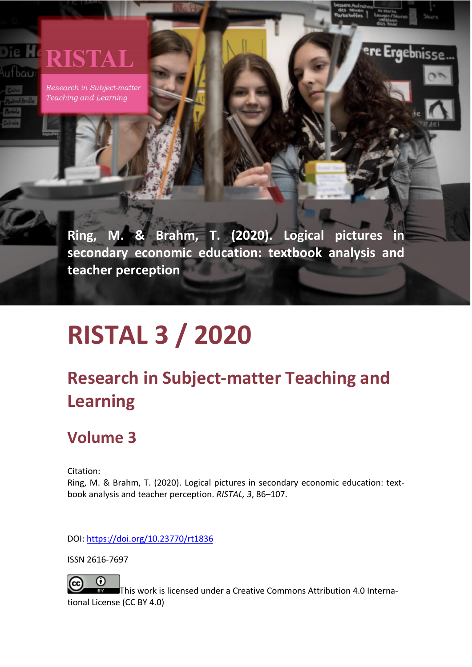## **RISTAL** ufbau

Research in Subject-matter Teaching and Learning

> **Ring, M. & Brahm, T. (2020). Logical pictures in secondary economic education: textbook analysis and teacher perception**

**Ergebnisse** 

# **RISTAL 3 / 2020**

# **Research in Subject-matter Teaching and Learning**

# **Volume 3**

Citation:

Ring, M. & Brahm, T. (2020). Logical pictures in secondary economic education: textbook analysis and teacher perception. *RISTAL, 3*, 86–107.

DOI: [https://doi.org/10.23770/](https://doi.org/10.23770/rt1836)[rt1836](https://doi.org/10.23770/rt1836)

ISSN 2616-7697

⋒ This work is licensed under a Creative Commons Attribution 4.0 International License (CC BY 4.0)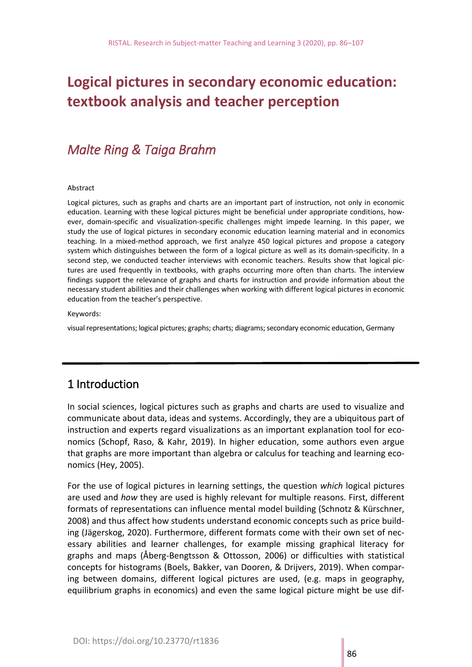# **Logical pictures in secondary economic education: textbook analysis and teacher perception**

## *Malte Ring & Taiga Brahm*

#### Abstract

Logical pictures, such as graphs and charts are an important part of instruction, not only in economic education. Learning with these logical pictures might be beneficial under appropriate conditions, however, domain-specific and visualization-specific challenges might impede learning. In this paper, we study the use of logical pictures in secondary economic education learning material and in economics teaching. In a mixed-method approach, we first analyze 450 logical pictures and propose a category system which distinguishes between the form of a logical picture as well as its domain-specificity. In a second step, we conducted teacher interviews with economic teachers. Results show that logical pictures are used frequently in textbooks, with graphs occurring more often than charts. The interview findings support the relevance of graphs and charts for instruction and provide information about the necessary student abilities and their challenges when working with different logical pictures in economic education from the teacher's perspective.

Keywords:

visual representations; logical pictures; graphs; charts; diagrams; secondary economic education, Germany

## 1 Introduction

In social sciences, logical pictures such as graphs and charts are used to visualize and communicate about data, ideas and systems. Accordingly, they are a ubiquitous part of instruction and experts regard visualizations as an important explanation tool for economics (Schopf, Raso, & Kahr, 2019). In higher education, some authors even argue that graphs are more important than algebra or calculus for teaching and learning economics (Hey, 2005).

For the use of logical pictures in learning settings, the question *which* logical pictures are used and *how* they are used is highly relevant for multiple reasons. First, different formats of representations can influence mental model building (Schnotz & Kürschner, 2008) and thus affect how students understand economic concepts such as price building (Jägerskog, 2020). Furthermore, different formats come with their own set of necessary abilities and learner challenges, for example missing graphical literacy for graphs and maps (Åberg-Bengtsson & Ottosson, 2006) or difficulties with statistical concepts for histograms (Boels, Bakker, van Dooren, & Drijvers, 2019). When comparing between domains, different logical pictures are used, (e.g. maps in geography, equilibrium graphs in economics) and even the same logical picture might be use dif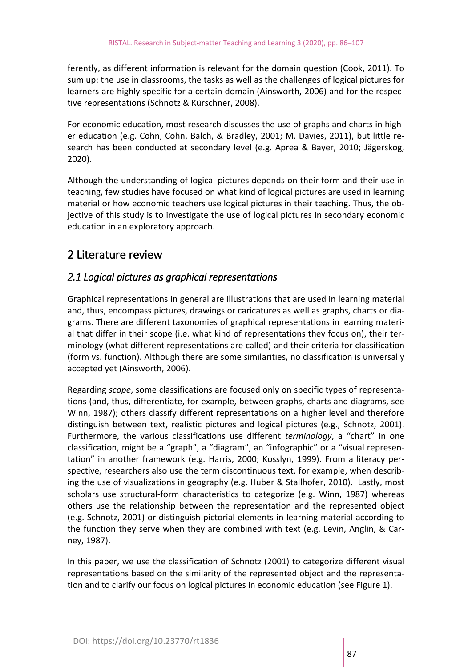ferently, as different information is relevant for the domain question (Cook, 2011). To sum up: the use in classrooms, the tasks as well as the challenges of logical pictures for learners are highly specific for a certain domain (Ainsworth, 2006) and for the respective representations (Schnotz & Kürschner, 2008).

For economic education, most research discusses the use of graphs and charts in higher education (e.g. Cohn, Cohn, Balch, & Bradley, 2001; M. Davies, 2011), but little research has been conducted at secondary level (e.g. Aprea & Bayer, 2010; Jägerskog, 2020).

Although the understanding of logical pictures depends on their form and their use in teaching, few studies have focused on what kind of logical pictures are used in learning material or how economic teachers use logical pictures in their teaching. Thus, the objective of this study is to investigate the use of logical pictures in secondary economic education in an exploratory approach.

## 2 Literature review

## *2.1 Logical pictures as graphical representations*

Graphical representations in general are illustrations that are used in learning material and, thus, encompass pictures, drawings or caricatures as well as graphs, charts or diagrams. There are different taxonomies of graphical representations in learning material that differ in their scope (i.e. what kind of representations they focus on), their terminology (what different representations are called) and their criteria for classification (form vs. function). Although there are some similarities, no classification is universally accepted yet (Ainsworth, 2006).

Regarding *scope*, some classifications are focused only on specific types of representations (and, thus, differentiate, for example, between graphs, charts and diagrams, see Winn, 1987); others classify different representations on a higher level and therefore distinguish between text, realistic pictures and logical pictures (e.g., Schnotz, 2001). Furthermore, the various classifications use different *terminology*, a "chart" in one classification, might be a "graph", a "diagram", an "infographic" or a "visual representation" in another framework (e.g. Harris, 2000; Kosslyn, 1999). From a literacy perspective, researchers also use the term discontinuous text, for example, when describing the use of visualizations in geography (e.g. Huber & Stallhofer, 2010). Lastly, most scholars use structural-form characteristics to categorize (e.g. Winn, 1987) whereas others use the relationship between the representation and the represented object (e.g. Schnotz, 2001) or distinguish pictorial elements in learning material according to the function they serve when they are combined with text (e.g. Levin, Anglin, & Carney, 1987).

In this paper, we use the classification of Schnotz (2001) to categorize different visual representations based on the similarity of the represented object and the representation and to clarify our focus on logical pictures in economic education (see Figure 1).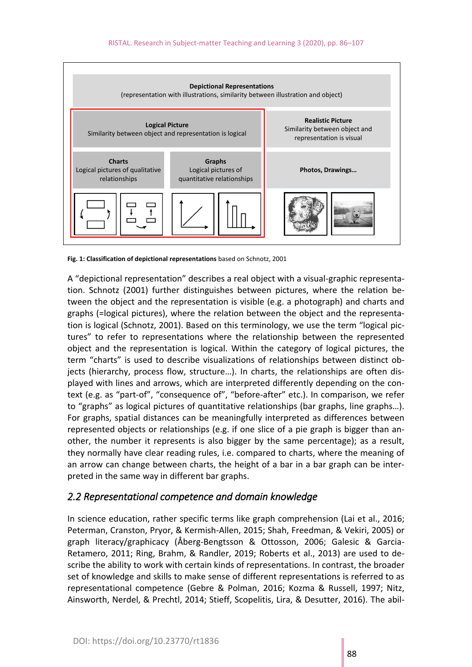

**Fig. 1: Classification of depictional representations** based on Schnotz, 2001

A "depictional representation" describes a real object with a visual-graphic representation. Schnotz (2001) further distinguishes between pictures, where the relation between the object and the representation is visible (e.g. a photograph) and charts and graphs (=logical pictures), where the relation between the object and the representation is logical (Schnotz, 2001). Based on this terminology, we use the term "logical pictures" to refer to representations where the relationship between the represented object and the representation is logical. Within the category of logical pictures, the term "charts" is used to describe visualizations of relationships between distinct objects (hierarchy, process flow, structure…). In charts, the relationships are often displayed with lines and arrows, which are interpreted differently depending on the context (e.g. as "part-of", "consequence of", "before-after" etc.). In comparison, we refer to "graphs" as logical pictures of quantitative relationships (bar graphs, line graphs…). For graphs, spatial distances can be meaningfully interpreted as differences between represented objects or relationships (e.g. if one slice of a pie graph is bigger than another, the number it represents is also bigger by the same percentage); as a result, they normally have clear reading rules, i.e. compared to charts, where the meaning of an arrow can change between charts, the height of a bar in a bar graph can be interpreted in the same way in different bar graphs.

## *2.2 Representational competence and domain knowledge*

In science education, rather specific terms like graph comprehension (Lai et al., 2016; Peterman, Cranston, Pryor, & Kermish-Allen, 2015; Shah, Freedman, & Vekiri, 2005) or graph literacy/graphicacy (Åberg-Bengtsson & Ottosson, 2006; Galesic & Garcia-Retamero, 2011; Ring, Brahm, & Randler, 2019; Roberts et al., 2013) are used to describe the ability to work with certain kinds of representations. In contrast, the broader set of knowledge and skills to make sense of different representations is referred to as representational competence (Gebre & Polman, 2016; Kozma & Russell, 1997; Nitz, Ainsworth, Nerdel, & Prechtl, 2014; Stieff, Scopelitis, Lira, & Desutter, 2016). The abil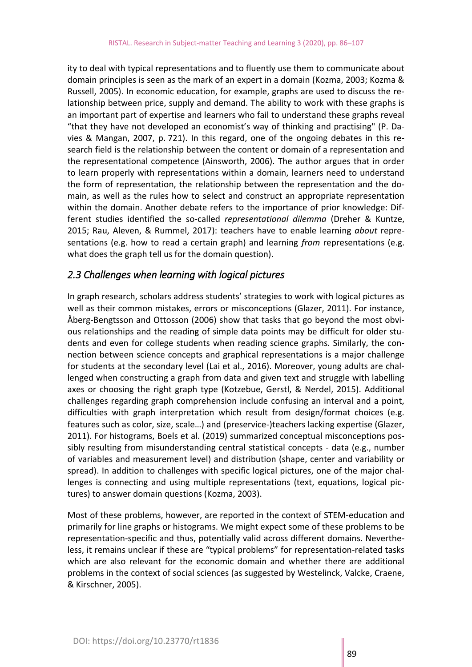ity to deal with typical representations and to fluently use them to communicate about domain principles is seen as the mark of an expert in a domain (Kozma, 2003; Kozma & Russell, 2005). In economic education, for example, graphs are used to discuss the relationship between price, supply and demand. The ability to work with these graphs is an important part of expertise and learners who fail to understand these graphs reveal "that they have not developed an economist's way of thinking and practising" (P. Davies & Mangan, 2007, p. 721). In this regard, one of the ongoing debates in this research field is the relationship between the content or domain of a representation and the representational competence (Ainsworth, 2006). The author argues that in order to learn properly with representations within a domain, learners need to understand the form of representation, the relationship between the representation and the domain, as well as the rules how to select and construct an appropriate representation within the domain. Another debate refers to the importance of prior knowledge: Different studies identified the so-called *representational dilemma* (Dreher & Kuntze, 2015; Rau, Aleven, & Rummel, 2017): teachers have to enable learning *about* representations (e.g. how to read a certain graph) and learning *from* representations (e.g. what does the graph tell us for the domain question).

## *2.3 Challenges when learning with logical pictures*

In graph research, scholars address students' strategies to work with logical pictures as well as their common mistakes, errors or misconceptions (Glazer, 2011). For instance, Åberg-Bengtsson and Ottosson (2006) show that tasks that go beyond the most obvious relationships and the reading of simple data points may be difficult for older students and even for college students when reading science graphs. Similarly, the connection between science concepts and graphical representations is a major challenge for students at the secondary level (Lai et al., 2016). Moreover, young adults are challenged when constructing a graph from data and given text and struggle with labelling axes or choosing the right graph type (Kotzebue, Gerstl, & Nerdel, 2015). Additional challenges regarding graph comprehension include confusing an interval and a point, difficulties with graph interpretation which result from design/format choices (e.g. features such as color, size, scale…) and (preservice-)teachers lacking expertise (Glazer, 2011). For histograms, Boels et al. (2019) summarized conceptual misconceptions possibly resulting from misunderstanding central statistical concepts - data (e.g., number of variables and measurement level) and distribution (shape, center and variability or spread). In addition to challenges with specific logical pictures, one of the major challenges is connecting and using multiple representations (text, equations, logical pictures) to answer domain questions (Kozma, 2003).

Most of these problems, however, are reported in the context of STEM-education and primarily for line graphs or histograms. We might expect some of these problems to be representation-specific and thus, potentially valid across different domains. Nevertheless, it remains unclear if these are "typical problems" for representation-related tasks which are also relevant for the economic domain and whether there are additional problems in the context of social sciences (as suggested by Westelinck, Valcke, Craene, & Kirschner, 2005).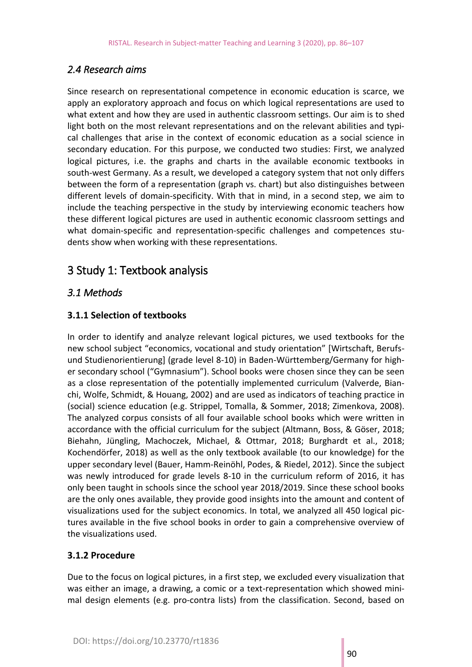## *2.4 Research aims*

Since research on representational competence in economic education is scarce, we apply an exploratory approach and focus on which logical representations are used to what extent and how they are used in authentic classroom settings. Our aim is to shed light both on the most relevant representations and on the relevant abilities and typical challenges that arise in the context of economic education as a social science in secondary education. For this purpose, we conducted two studies: First, we analyzed logical pictures, i.e. the graphs and charts in the available economic textbooks in south-west Germany. As a result, we developed a category system that not only differs between the form of a representation (graph vs. chart) but also distinguishes between different levels of domain-specificity. With that in mind, in a second step, we aim to include the teaching perspective in the study by interviewing economic teachers how these different logical pictures are used in authentic economic classroom settings and what domain-specific and representation-specific challenges and competences students show when working with these representations.

## 3 Study 1: Textbook analysis

## *3.1 Methods*

## **3.1.1 Selection of textbooks**

In order to identify and analyze relevant logical pictures, we used textbooks for the new school subject "economics, vocational and study orientation" [Wirtschaft, Berufsund Studienorientierung] (grade level 8-10) in Baden-Württemberg/Germany for higher secondary school ("Gymnasium"). School books were chosen since they can be seen as a close representation of the potentially implemented curriculum (Valverde, Bianchi, Wolfe, Schmidt, & Houang, 2002) and are used as indicators of teaching practice in (social) science education (e.g. Strippel, Tomalla, & Sommer, 2018; Zimenkova, 2008). The analyzed corpus consists of all four available school books which were written in accordance with the official curriculum for the subject (Altmann, Boss, & Göser, 2018; Biehahn, Jüngling, Machoczek, Michael, & Ottmar, 2018; Burghardt et al., 2018; Kochendörfer, 2018) as well as the only textbook available (to our knowledge) for the upper secondary level (Bauer, Hamm-Reinöhl, Podes, & Riedel, 2012). Since the subject was newly introduced for grade levels 8-10 in the curriculum reform of 2016, it has only been taught in schools since the school year 2018/2019. Since these school books are the only ones available, they provide good insights into the amount and content of visualizations used for the subject economics. In total, we analyzed all 450 logical pictures available in the five school books in order to gain a comprehensive overview of the visualizations used.

#### **3.1.2 Procedure**

Due to the focus on logical pictures, in a first step, we excluded every visualization that was either an image, a drawing, a comic or a text-representation which showed minimal design elements (e.g. pro-contra lists) from the classification. Second, based on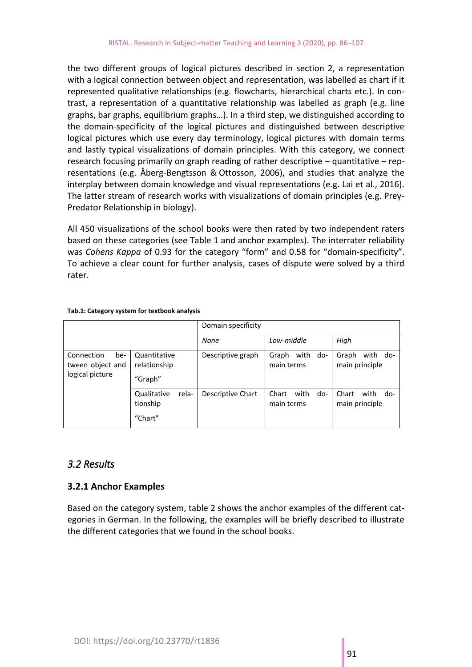the two different groups of logical pictures described in section 2, a representation with a logical connection between object and representation, was labelled as chart if it represented qualitative relationships (e.g. flowcharts, hierarchical charts etc.). In contrast, a representation of a quantitative relationship was labelled as graph (e.g. line graphs, bar graphs, equilibrium graphs…). In a third step, we distinguished according to the domain-specificity of the logical pictures and distinguished between descriptive logical pictures which use every day terminology, logical pictures with domain terms and lastly typical visualizations of domain principles. With this category, we connect research focusing primarily on graph reading of rather descriptive – quantitative – representations (e.g. Åberg-Bengtsson & Ottosson, 2006), and studies that analyze the interplay between domain knowledge and visual representations (e.g. Lai et al., 2016). The latter stream of research works with visualizations of domain principles (e.g. Prey-Predator Relationship in biology).

All 450 visualizations of the school books were then rated by two independent raters based on these categories (see Table 1 and anchor examples). The interrater reliability was *Cohens Kappa* of 0.93 for the category "form" and 0.58 for "domain-specificity". To achieve a clear count for further analysis, cases of dispute were solved by a third rater.

|                                                          |                                             | Domain specificity |                                    |                                        |
|----------------------------------------------------------|---------------------------------------------|--------------------|------------------------------------|----------------------------------------|
|                                                          |                                             | None               | Low-middle                         | High                                   |
| Connection<br>be-<br>tween object and<br>logical picture | Quantitative<br>relationship<br>"Graph"     | Descriptive graph  | with<br>Graph<br>do-<br>main terms | with<br>Graph<br>do-<br>main principle |
|                                                          | Qualitative<br>rela-<br>tionship<br>"Chart" | Descriptive Chart  | Chart<br>with<br>do-<br>main terms | Chart<br>with<br>do-<br>main principle |

#### **Tab.1: Category system for textbook analysis**

## *3.2 Results*

#### **3.2.1 Anchor Examples**

Based on the category system, table 2 shows the anchor examples of the different categories in German. In the following, the examples will be briefly described to illustrate the different categories that we found in the school books.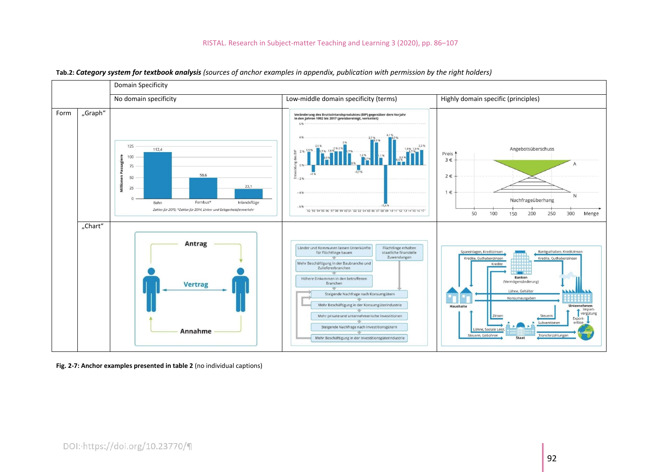#### RISTAL. Research in Subject-matter Teaching and Learning 3 (2020), pp. 86–107



**Tab.2:** *Category system for textbook analysis (sources of anchor examples in appendix, publication with permission by the right holders)*

**Fig. 2-7: Anchor examples presented in table 2** (no individual captions)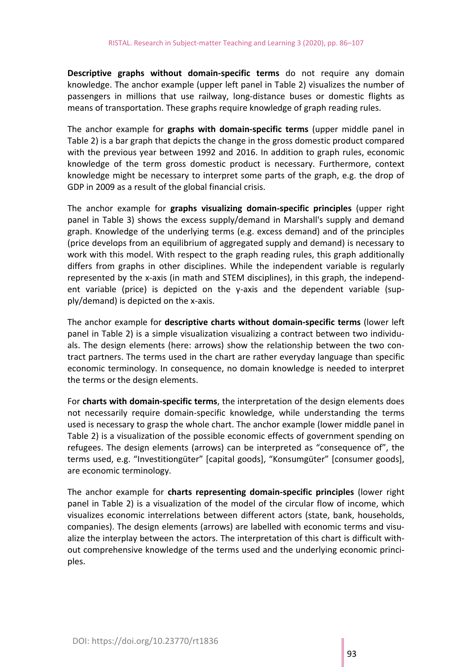**Descriptive graphs without domain-specific terms** do not require any domain knowledge. The anchor example (upper left panel in Table 2) visualizes the number of passengers in millions that use railway, long-distance buses or domestic flights as means of transportation. These graphs require knowledge of graph reading rules.

The anchor example for **graphs with domain-specific terms** (upper middle panel in Table 2) is a bar graph that depicts the change in the gross domestic product compared with the previous year between 1992 and 2016. In addition to graph rules, economic knowledge of the term gross domestic product is necessary. Furthermore, context knowledge might be necessary to interpret some parts of the graph, e.g. the drop of GDP in 2009 as a result of the global financial crisis.

The anchor example for **graphs visualizing domain-specific principles** (upper right panel in Table 3) shows the excess supply/demand in Marshall's supply and demand graph. Knowledge of the underlying terms (e.g. excess demand) and of the principles (price develops from an equilibrium of aggregated supply and demand) is necessary to work with this model. With respect to the graph reading rules, this graph additionally differs from graphs in other disciplines. While the independent variable is regularly represented by the x-axis (in math and STEM disciplines), in this graph, the independent variable (price) is depicted on the y-axis and the dependent variable (supply/demand) is depicted on the x-axis.

The anchor example for **descriptive charts without domain-specific terms** (lower left panel in Table 2) is a simple visualization visualizing a contract between two individuals. The design elements (here: arrows) show the relationship between the two contract partners. The terms used in the chart are rather everyday language than specific economic terminology. In consequence, no domain knowledge is needed to interpret the terms or the design elements.

For **charts with domain-specific terms**, the interpretation of the design elements does not necessarily require domain-specific knowledge, while understanding the terms used is necessary to grasp the whole chart. The anchor example (lower middle panel in Table 2) is a visualization of the possible economic effects of government spending on refugees. The design elements (arrows) can be interpreted as "consequence of", the terms used, e.g. "Investitiongüter" [capital goods], "Konsumgüter" [consumer goods], are economic terminology.

The anchor example for **charts representing domain-specific principles** (lower right panel in Table 2) is a visualization of the model of the circular flow of income, which visualizes economic interrelations between different actors (state, bank, households, companies). The design elements (arrows) are labelled with economic terms and visualize the interplay between the actors. The interpretation of this chart is difficult without comprehensive knowledge of the terms used and the underlying economic principles.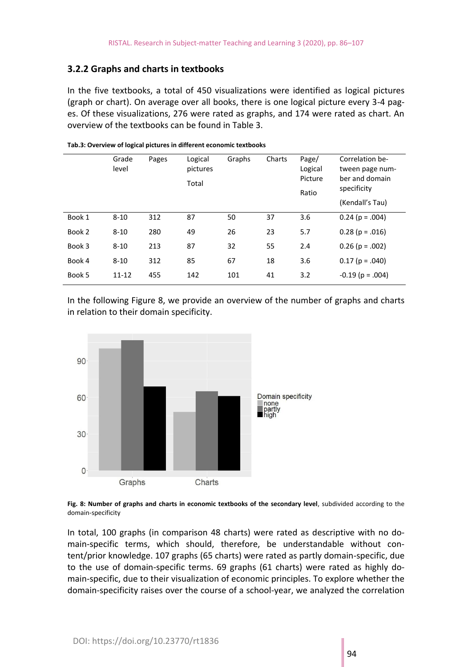#### **3.2.2 Graphs and charts in textbooks**

In the five textbooks, a total of 450 visualizations were identified as logical pictures (graph or chart). On average over all books, there is one logical picture every 3-4 pages. Of these visualizations, 276 were rated as graphs, and 174 were rated as chart. An overview of the textbooks can be found in Table 3.

|        | Grade<br>level | Pages | Logical<br>pictures<br>Total | Graphs | Charts | Page/<br>Logical<br>Picture<br>Ratio | Correlation be-<br>tween page num-<br>ber and domain<br>specificity<br>(Kendall's Tau) |
|--------|----------------|-------|------------------------------|--------|--------|--------------------------------------|----------------------------------------------------------------------------------------|
| Book 1 | $8 - 10$       | 312   | 87                           | 50     | 37     | 3.6                                  | $0.24$ (p = .004)                                                                      |
| Book 2 | $8 - 10$       | 280   | 49                           | 26     | 23     | 5.7                                  | $0.28$ (p = .016)                                                                      |
| Book 3 | $8 - 10$       | 213   | 87                           | 32     | 55     | 2.4                                  | $0.26$ (p = .002)                                                                      |
| Book 4 | $8 - 10$       | 312   | 85                           | 67     | 18     | 3.6                                  | $0.17(p = .040)$                                                                       |
| Book 5 | $11 - 12$      | 455   | 142                          | 101    | 41     | 3.2                                  | $-0.19$ (p = .004)                                                                     |

#### **Tab.3: Overview of logical pictures in different economic textbooks**

In the following Figure 8, we provide an overview of the number of graphs and charts in relation to their domain specificity.



**Fig. 8: Number of graphs and charts in economic textbooks of the secondary level**, subdivided according to the domain-specificity

In total, 100 graphs (in comparison 48 charts) were rated as descriptive with no domain-specific terms, which should, therefore, be understandable without content/prior knowledge. 107 graphs (65 charts) were rated as partly domain-specific, due to the use of domain-specific terms. 69 graphs (61 charts) were rated as highly domain-specific, due to their visualization of economic principles. To explore whether the domain-specificity raises over the course of a school-year, we analyzed the correlation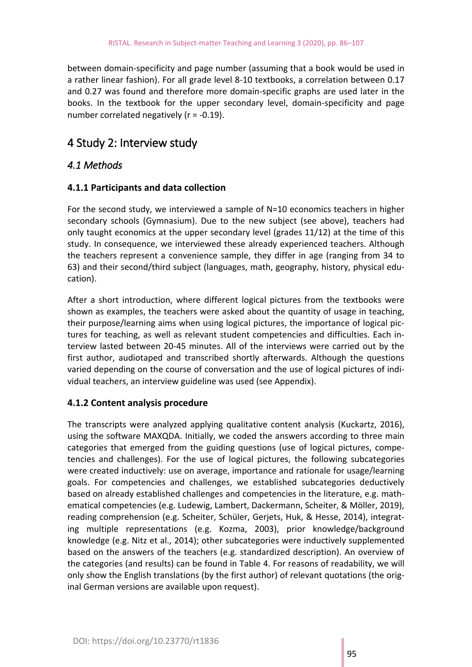between domain-specificity and page number (assuming that a book would be used in a rather linear fashion). For all grade level 8-10 textbooks, a correlation between 0.17 and 0.27 was found and therefore more domain-specific graphs are used later in the books. In the textbook for the upper secondary level, domain-specificity and page number correlated negatively (r = -0.19).

## 4 Study 2: Interview study

## *4.1 Methods*

#### **4.1.1 Participants and data collection**

For the second study, we interviewed a sample of N=10 economics teachers in higher secondary schools (Gymnasium). Due to the new subject (see above), teachers had only taught economics at the upper secondary level (grades 11/12) at the time of this study. In consequence, we interviewed these already experienced teachers. Although the teachers represent a convenience sample, they differ in age (ranging from 34 to 63) and their second/third subject (languages, math, geography, history, physical education).

After a short introduction, where different logical pictures from the textbooks were shown as examples, the teachers were asked about the quantity of usage in teaching, their purpose/learning aims when using logical pictures, the importance of logical pictures for teaching, as well as relevant student competencies and difficulties. Each interview lasted between 20-45 minutes. All of the interviews were carried out by the first author, audiotaped and transcribed shortly afterwards. Although the questions varied depending on the course of conversation and the use of logical pictures of individual teachers, an interview guideline was used (see Appendix).

## **4.1.2 Content analysis procedure**

The transcripts were analyzed applying qualitative content analysis (Kuckartz, 2016), using the software MAXQDA. Initially, we coded the answers according to three main categories that emerged from the guiding questions (use of logical pictures, competencies and challenges). For the use of logical pictures, the following subcategories were created inductively: use on average, importance and rationale for usage/learning goals. For competencies and challenges, we established subcategories deductively based on already established challenges and competencies in the literature, e.g. mathematical competencies (e.g. Ludewig, Lambert, Dackermann, Scheiter, & Möller, 2019), reading comprehension (e.g. Scheiter, Schüler, Gerjets, Huk, & Hesse, 2014), integrating multiple representations (e.g. Kozma, 2003), prior knowledge/background knowledge (e.g. Nitz et al., 2014); other subcategories were inductively supplemented based on the answers of the teachers (e.g. standardized description). An overview of the categories (and results) can be found in Table 4. For reasons of readability, we will only show the English translations (by the first author) of relevant quotations (the original German versions are available upon request).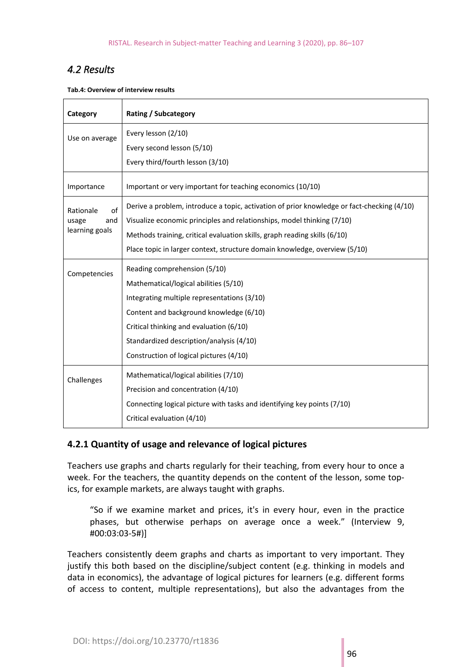## *4.2 Results*

**Tab.4: Overview of interview results**

| Category                                          | <b>Rating / Subcategory</b>                                                                |  |  |  |
|---------------------------------------------------|--------------------------------------------------------------------------------------------|--|--|--|
| Use on average                                    | Every lesson (2/10)                                                                        |  |  |  |
|                                                   | Every second lesson (5/10)                                                                 |  |  |  |
|                                                   | Every third/fourth lesson (3/10)                                                           |  |  |  |
| Importance                                        | Important or very important for teaching economics (10/10)                                 |  |  |  |
| of<br>Rationale<br>and<br>usage<br>learning goals | Derive a problem, introduce a topic, activation of prior knowledge or fact-checking (4/10) |  |  |  |
|                                                   | Visualize economic principles and relationships, model thinking (7/10)                     |  |  |  |
|                                                   | Methods training, critical evaluation skills, graph reading skills (6/10)                  |  |  |  |
|                                                   | Place topic in larger context, structure domain knowledge, overview (5/10)                 |  |  |  |
| Competencies                                      | Reading comprehension (5/10)                                                               |  |  |  |
|                                                   | Mathematical/logical abilities (5/10)                                                      |  |  |  |
|                                                   | Integrating multiple representations (3/10)                                                |  |  |  |
|                                                   | Content and background knowledge (6/10)                                                    |  |  |  |
|                                                   | Critical thinking and evaluation (6/10)                                                    |  |  |  |
|                                                   | Standardized description/analysis (4/10)                                                   |  |  |  |
|                                                   | Construction of logical pictures (4/10)                                                    |  |  |  |
| Challenges                                        | Mathematical/logical abilities (7/10)                                                      |  |  |  |
|                                                   | Precision and concentration (4/10)                                                         |  |  |  |
|                                                   | Connecting logical picture with tasks and identifying key points (7/10)                    |  |  |  |
|                                                   | Critical evaluation (4/10)                                                                 |  |  |  |

## **4.2.1 Quantity of usage and relevance of logical pictures**

Teachers use graphs and charts regularly for their teaching, from every hour to once a week. For the teachers, the quantity depends on the content of the lesson, some topics, for example markets, are always taught with graphs.

"So if we examine market and prices, it's in every hour, even in the practice phases, but otherwise perhaps on average once a week." (Interview 9, #00:03:03-5#)]

Teachers consistently deem graphs and charts as important to very important. They justify this both based on the discipline/subject content (e.g. thinking in models and data in economics), the advantage of logical pictures for learners (e.g. different forms of access to content, multiple representations), but also the advantages from the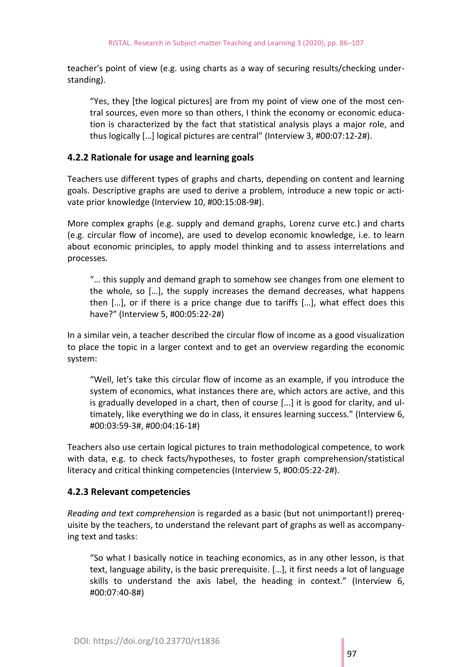teacher's point of view (e.g. using charts as a way of securing results/checking understanding).

"Yes, they [the logical pictures] are from my point of view one of the most central sources, even more so than others, I think the economy or economic education is characterized by the fact that statistical analysis plays a major role, and thus logically […] logical pictures are central" (Interview 3, #00:07:12-2#).

#### **4.2.2 Rationale for usage and learning goals**

Teachers use different types of graphs and charts, depending on content and learning goals. Descriptive graphs are used to derive a problem, introduce a new topic or activate prior knowledge (Interview 10, #00:15:08-9#).

More complex graphs (e.g. supply and demand graphs, Lorenz curve etc.) and charts (e.g. circular flow of income), are used to develop economic knowledge, i.e. to learn about economic principles, to apply model thinking and to assess interrelations and processes.

"… this supply and demand graph to somehow see changes from one element to the whole, so […], the supply increases the demand decreases, what happens then […], or if there is a price change due to tariffs […], what effect does this have?" (Interview 5, #00:05:22-2#)

In a similar vein, a teacher described the circular flow of income as a good visualization to place the topic in a larger context and to get an overview regarding the economic system:

"Well, let's take this circular flow of income as an example, if you introduce the system of economics, what instances there are, which actors are active, and this is gradually developed in a chart, then of course [...] it is good for clarity, and ultimately, like everything we do in class, it ensures learning success." (Interview 6, #00:03:59-3#, #00:04:16-1#)

Teachers also use certain logical pictures to train methodological competence, to work with data, e.g. to check facts/hypotheses, to foster graph comprehension/statistical literacy and critical thinking competencies (Interview 5, #00:05:22-2#).

#### **4.2.3 Relevant competencies**

*Reading and text comprehension* is regarded as a basic (but not unimportant!) prerequisite by the teachers, to understand the relevant part of graphs as well as accompanying text and tasks:

"So what I basically notice in teaching economics, as in any other lesson, is that text, language ability, is the basic prerequisite. […], it first needs a lot of language skills to understand the axis label, the heading in context." (Interview 6, #00:07:40-8#)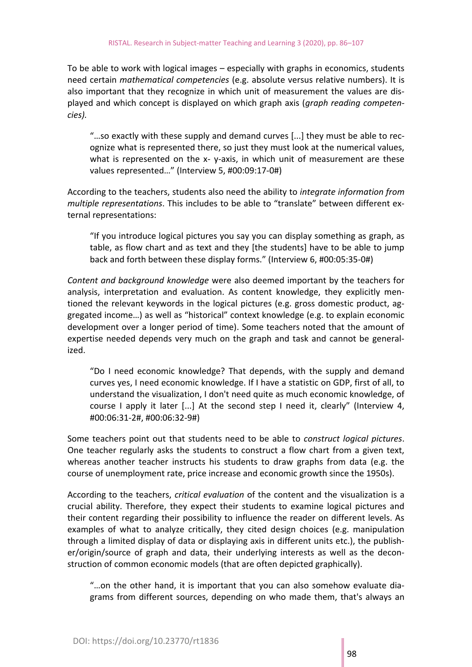To be able to work with logical images – especially with graphs in economics, students need certain *mathematical competencies* (e.g. absolute versus relative numbers). It is also important that they recognize in which unit of measurement the values are displayed and which concept is displayed on which graph axis (*graph reading competencies).*

"…so exactly with these supply and demand curves [...] they must be able to recognize what is represented there, so just they must look at the numerical values, what is represented on the x- y-axis, in which unit of measurement are these values represented…" (Interview 5, #00:09:17-0#)

According to the teachers, students also need the ability to *integrate information from multiple representations*. This includes to be able to "translate" between different external representations:

"If you introduce logical pictures you say you can display something as graph, as table, as flow chart and as text and they [the students] have to be able to jump back and forth between these display forms." (Interview 6, #00:05:35-0#)

*Content and background knowledge* were also deemed important by the teachers for analysis, interpretation and evaluation. As content knowledge, they explicitly mentioned the relevant keywords in the logical pictures (e.g. gross domestic product, aggregated income…) as well as "historical" context knowledge (e.g. to explain economic development over a longer period of time). Some teachers noted that the amount of expertise needed depends very much on the graph and task and cannot be generalized.

"Do I need economic knowledge? That depends, with the supply and demand curves yes, I need economic knowledge. If I have a statistic on GDP, first of all, to understand the visualization, I don't need quite as much economic knowledge, of course I apply it later [...] At the second step I need it, clearly" (Interview 4, #00:06:31-2#, #00:06:32-9#)

Some teachers point out that students need to be able to *construct logical pictures*. One teacher regularly asks the students to construct a flow chart from a given text, whereas another teacher instructs his students to draw graphs from data (e.g. the course of unemployment rate, price increase and economic growth since the 1950s).

According to the teachers, *critical evaluation* of the content and the visualization is a crucial ability. Therefore, they expect their students to examine logical pictures and their content regarding their possibility to influence the reader on different levels. As examples of what to analyze critically, they cited design choices (e.g. manipulation through a limited display of data or displaying axis in different units etc.), the publisher/origin/source of graph and data, their underlying interests as well as the deconstruction of common economic models (that are often depicted graphically).

"…on the other hand, it is important that you can also somehow evaluate diagrams from different sources, depending on who made them, that's always an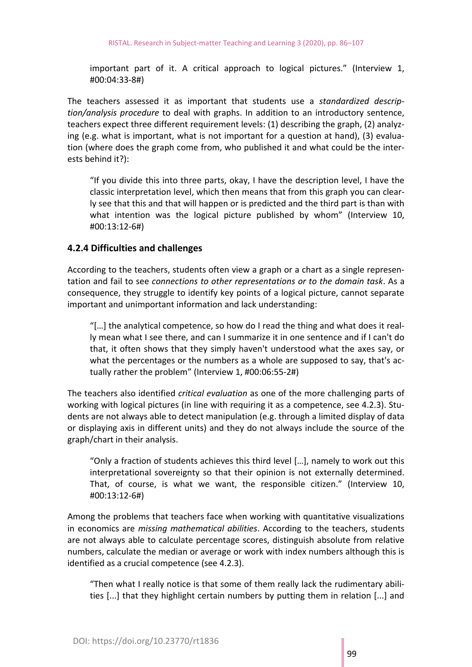important part of it. A critical approach to logical pictures." (Interview 1, #00:04:33-8#)

The teachers assessed it as important that students use a *standardized description/analysis procedure* to deal with graphs. In addition to an introductory sentence, teachers expect three different requirement levels: (1) describing the graph, (2) analyzing (e.g. what is important, what is not important for a question at hand), (3) evaluation (where does the graph come from, who published it and what could be the interests behind it?):

"If you divide this into three parts, okay, I have the description level, I have the classic interpretation level, which then means that from this graph you can clearly see that this and that will happen or is predicted and the third part is than with what intention was the logical picture published by whom" (Interview 10, #00:13:12-6#)

#### **4.2.4 Difficulties and challenges**

According to the teachers, students often view a graph or a chart as a single representation and fail to see *connections to other representations or to the domain task*. As a consequence, they struggle to identify key points of a logical picture, cannot separate important and unimportant information and lack understanding:

"[…] the analytical competence, so how do I read the thing and what does it really mean what I see there, and can I summarize it in one sentence and if I can't do that, it often shows that they simply haven't understood what the axes say, or what the percentages or the numbers as a whole are supposed to say, that's actually rather the problem" (Interview 1, #00:06:55-2#)

The teachers also identified *critical evaluation* as one of the more challenging parts of working with logical pictures (in line with requiring it as a competence, see 4.2.3). Students are not always able to detect manipulation (e.g. through a limited display of data or displaying axis in different units) and they do not always include the source of the graph/chart in their analysis.

"Only a fraction of students achieves this third level […], namely to work out this interpretational sovereignty so that their opinion is not externally determined. That, of course, is what we want, the responsible citizen." (Interview 10, #00:13:12-6#)

Among the problems that teachers face when working with quantitative visualizations in economics are *missing mathematical abilities*. According to the teachers, students are not always able to calculate percentage scores, distinguish absolute from relative numbers, calculate the median or average or work with index numbers although this is identified as a crucial competence (see 4.2.3).

"Then what I really notice is that some of them really lack the rudimentary abilities [...] that they highlight certain numbers by putting them in relation [...] and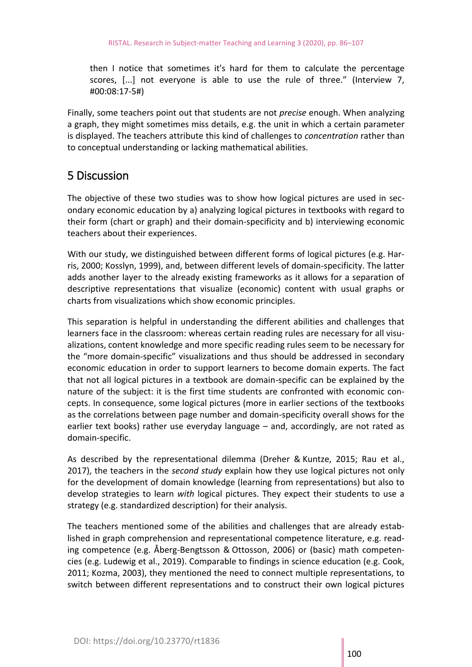then I notice that sometimes it's hard for them to calculate the percentage scores, [...] not everyone is able to use the rule of three." (Interview 7, #00:08:17-5#)

Finally, some teachers point out that students are not *precise* enough. When analyzing a graph, they might sometimes miss details, e.g. the unit in which a certain parameter is displayed. The teachers attribute this kind of challenges to *concentration* rather than to conceptual understanding or lacking mathematical abilities.

## 5 Discussion

The objective of these two studies was to show how logical pictures are used in secondary economic education by a) analyzing logical pictures in textbooks with regard to their form (chart or graph) and their domain-specificity and b) interviewing economic teachers about their experiences.

With our study, we distinguished between different forms of logical pictures (e.g. Harris, 2000; Kosslyn, 1999), and, between different levels of domain-specificity. The latter adds another layer to the already existing frameworks as it allows for a separation of descriptive representations that visualize (economic) content with usual graphs or charts from visualizations which show economic principles.

This separation is helpful in understanding the different abilities and challenges that learners face in the classroom: whereas certain reading rules are necessary for all visualizations, content knowledge and more specific reading rules seem to be necessary for the "more domain-specific" visualizations and thus should be addressed in secondary economic education in order to support learners to become domain experts. The fact that not all logical pictures in a textbook are domain-specific can be explained by the nature of the subject: it is the first time students are confronted with economic concepts. In consequence, some logical pictures (more in earlier sections of the textbooks as the correlations between page number and domain-specificity overall shows for the earlier text books) rather use everyday language – and, accordingly, are not rated as domain-specific.

As described by the representational dilemma (Dreher & Kuntze, 2015; Rau et al., 2017), the teachers in the *second study* explain how they use logical pictures not only for the development of domain knowledge (learning from representations) but also to develop strategies to learn *with* logical pictures. They expect their students to use a strategy (e.g. standardized description) for their analysis.

The teachers mentioned some of the abilities and challenges that are already established in graph comprehension and representational competence literature, e.g. reading competence (e.g. Åberg-Bengtsson & Ottosson, 2006) or (basic) math competencies (e.g. Ludewig et al., 2019). Comparable to findings in science education (e.g. Cook, 2011; Kozma, 2003), they mentioned the need to connect multiple representations, to switch between different representations and to construct their own logical pictures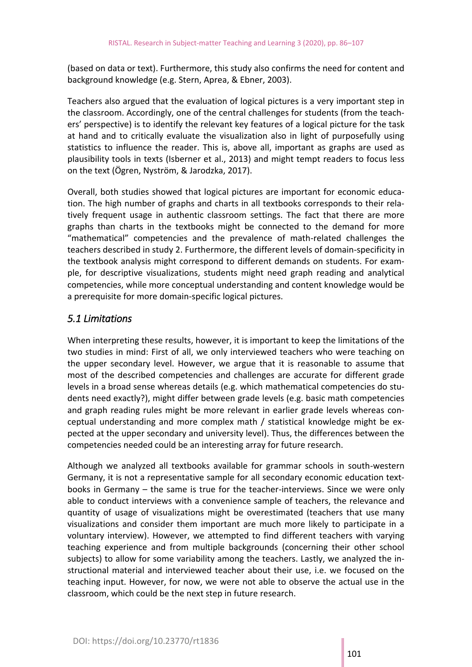(based on data or text). Furthermore, this study also confirms the need for content and background knowledge (e.g. Stern, Aprea, & Ebner, 2003).

Teachers also argued that the evaluation of logical pictures is a very important step in the classroom. Accordingly, one of the central challenges for students (from the teachers' perspective) is to identify the relevant key features of a logical picture for the task at hand and to critically evaluate the visualization also in light of purposefully using statistics to influence the reader. This is, above all, important as graphs are used as plausibility tools in texts (Isberner et al., 2013) and might tempt readers to focus less on the text (Ögren, Nyström, & Jarodzka, 2017).

Overall, both studies showed that logical pictures are important for economic education. The high number of graphs and charts in all textbooks corresponds to their relatively frequent usage in authentic classroom settings. The fact that there are more graphs than charts in the textbooks might be connected to the demand for more "mathematical" competencies and the prevalence of math-related challenges the teachers described in study 2. Furthermore, the different levels of domain-specificity in the textbook analysis might correspond to different demands on students. For example, for descriptive visualizations, students might need graph reading and analytical competencies, while more conceptual understanding and content knowledge would be a prerequisite for more domain-specific logical pictures.

### *5.1 Limitations*

When interpreting these results, however, it is important to keep the limitations of the two studies in mind: First of all, we only interviewed teachers who were teaching on the upper secondary level. However, we argue that it is reasonable to assume that most of the described competencies and challenges are accurate for different grade levels in a broad sense whereas details (e.g. which mathematical competencies do students need exactly?), might differ between grade levels (e.g. basic math competencies and graph reading rules might be more relevant in earlier grade levels whereas conceptual understanding and more complex math / statistical knowledge might be expected at the upper secondary and university level). Thus, the differences between the competencies needed could be an interesting array for future research.

Although we analyzed all textbooks available for grammar schools in south-western Germany, it is not a representative sample for all secondary economic education textbooks in Germany – the same is true for the teacher-interviews. Since we were only able to conduct interviews with a convenience sample of teachers, the relevance and quantity of usage of visualizations might be overestimated (teachers that use many visualizations and consider them important are much more likely to participate in a voluntary interview). However, we attempted to find different teachers with varying teaching experience and from multiple backgrounds (concerning their other school subjects) to allow for some variability among the teachers. Lastly, we analyzed the instructional material and interviewed teacher about their use, i.e. we focused on the teaching input. However, for now, we were not able to observe the actual use in the classroom, which could be the next step in future research.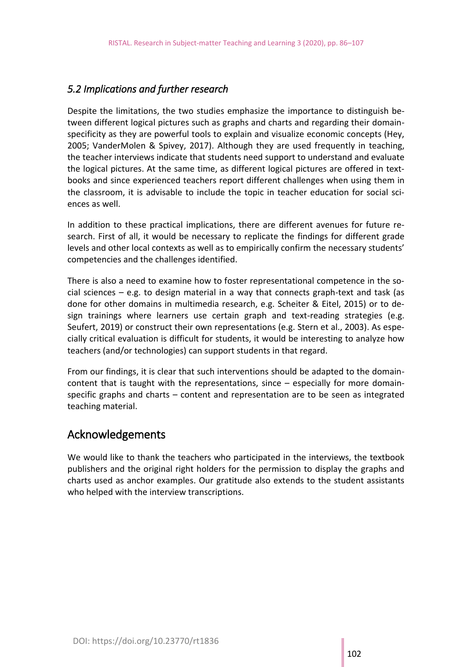## *5.2 Implications and further research*

Despite the limitations, the two studies emphasize the importance to distinguish between different logical pictures such as graphs and charts and regarding their domainspecificity as they are powerful tools to explain and visualize economic concepts (Hey, 2005; VanderMolen & Spivey, 2017). Although they are used frequently in teaching, the teacher interviews indicate that students need support to understand and evaluate the logical pictures. At the same time, as different logical pictures are offered in textbooks and since experienced teachers report different challenges when using them in the classroom, it is advisable to include the topic in teacher education for social sciences as well.

In addition to these practical implications, there are different avenues for future research. First of all, it would be necessary to replicate the findings for different grade levels and other local contexts as well as to empirically confirm the necessary students' competencies and the challenges identified.

There is also a need to examine how to foster representational competence in the social sciences  $-$  e.g. to design material in a way that connects graph-text and task (as done for other domains in multimedia research, e.g. Scheiter & Eitel, 2015) or to design trainings where learners use certain graph and text-reading strategies (e.g. Seufert, 2019) or construct their own representations (e.g. Stern et al., 2003). As especially critical evaluation is difficult for students, it would be interesting to analyze how teachers (and/or technologies) can support students in that regard.

From our findings, it is clear that such interventions should be adapted to the domaincontent that is taught with the representations, since – especially for more domainspecific graphs and charts – content and representation are to be seen as integrated teaching material.

## Acknowledgements

We would like to thank the teachers who participated in the interviews, the textbook publishers and the original right holders for the permission to display the graphs and charts used as anchor examples. Our gratitude also extends to the student assistants who helped with the interview transcriptions.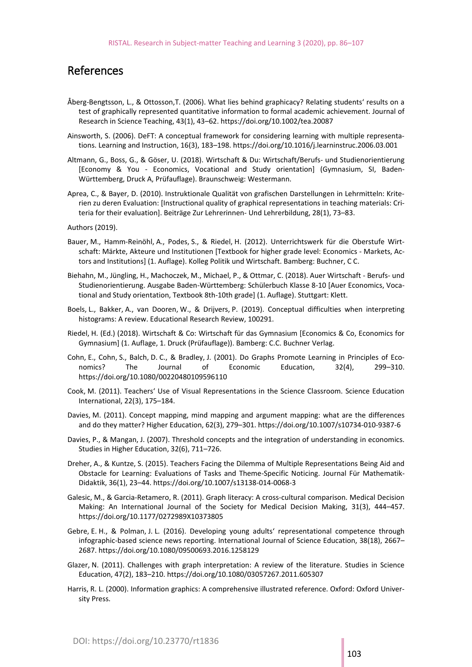## References

- Åberg-Bengtsson, L., & Ottosson,T. (2006). What lies behind graphicacy? Relating students' results on a test of graphically represented quantitative information to formal academic achievement. Journal of Research in Science Teaching, 43(1), 43–62.<https://doi.org/10.1002/tea.20087>
- Ainsworth, S. (2006). DeFT: A conceptual framework for considering learning with multiple representations. Learning and Instruction, 16(3), 183–198.<https://doi.org/10.1016/j.learninstruc.2006.03.001>
- Altmann, G., Boss, G., & Göser, U. (2018). Wirtschaft & Du: Wirtschaft/Berufs- und Studienorientierung [Economy & You - Economics, Vocational and Study orientation] (Gymnasium, SI, Baden-Württemberg, Druck A, Prüfauflage). Braunschweig: Westermann.
- Aprea, C., & Bayer, D. (2010). Instruktionale Qualität von grafischen Darstellungen in Lehrmitteln: Kriterien zu deren Evaluation: [Instructional quality of graphical representations in teaching materials: Criteria for their evaluation]. Beiträge Zur Lehrerinnen- Und Lehrerbildung, 28(1), 73–83.
- Authors (2019).
- Bauer, M., Hamm-Reinöhl, A., Podes, S., & Riedel, H. (2012). Unterrichtswerk für die Oberstufe Wirtschaft: Märkte, Akteure und Institutionen [Textbook for higher grade level: Economics - Markets, Actors and Institutions] (1. Auflage). Kolleg Politik und Wirtschaft. Bamberg: Buchner, C C.
- Biehahn, M., Jüngling, H., Machoczek, M., Michael, P., & Ottmar, C. (2018). Auer Wirtschaft Berufs- und Studienorientierung. Ausgabe Baden-Württemberg: Schülerbuch Klasse 8-10 [Auer Economics, Vocational and Study orientation, Textbook 8th-10th grade] (1. Auflage). Stuttgart: Klett.
- Boels, L., Bakker, A., van Dooren, W., & Drijvers, P. (2019). Conceptual difficulties when interpreting histograms: A review. Educational Research Review, 100291.
- Riedel, H. (Ed.) (2018). Wirtschaft & Co: Wirtschaft für das Gymnasium [Economics & Co, Economics for Gymnasium] (1. Auflage, 1. Druck (Prüfauflage)). Bamberg: C.C. Buchner Verlag.
- Cohn, E., Cohn, S., Balch, D. C., & Bradley, J. (2001). Do Graphs Promote Learning in Principles of Economics? The Journal of Economic Education, 32(4), 299–310. <https://doi.org/10.1080/00220480109596110>
- Cook, M. (2011). Teachers' Use of Visual Representations in the Science Classroom. Science Education International, 22(3), 175–184.
- Davies, M. (2011). Concept mapping, mind mapping and argument mapping: what are the differences and do they matter? Higher Education, 62(3), 279–301. <https://doi.org/10.1007/s10734-010-9387-6>
- Davies, P., & Mangan, J. (2007). Threshold concepts and the integration of understanding in economics. Studies in Higher Education, 32(6), 711–726.
- Dreher, A., & Kuntze, S. (2015). Teachers Facing the Dilemma of Multiple Representations Being Aid and Obstacle for Learning: Evaluations of Tasks and Theme-Specific Noticing. Journal Für Mathematik-Didaktik, 36(1), 23–44.<https://doi.org/10.1007/s13138-014-0068-3>
- Galesic, M., & Garcia-Retamero, R. (2011). Graph literacy: A cross-cultural comparison. Medical Decision Making: An International Journal of the Society for Medical Decision Making, 31(3), 444–457. <https://doi.org/10.1177/0272989X10373805>
- Gebre, E. H., & Polman, J. L. (2016). Developing young adults' representational competence through infographic-based science news reporting. International Journal of Science Education, 38(18), 2667– 2687.<https://doi.org/10.1080/09500693.2016.1258129>
- Glazer, N. (2011). Challenges with graph interpretation: A review of the literature. Studies in Science Education, 47(2), 183–210. <https://doi.org/10.1080/03057267.2011.605307>
- Harris, R. L. (2000). Information graphics: A comprehensive illustrated reference. Oxford: Oxford University Press.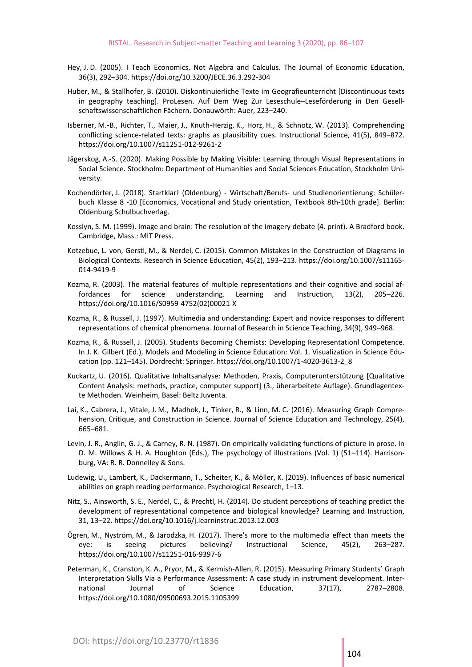- Hey, J. D. (2005). I Teach Economics, Not Algebra and Calculus. The Journal of Economic Education, 36(3), 292–304. <https://doi.org/10.3200/JECE.36.3.292-304>
- Huber, M., & Stallhofer, B. (2010). Diskontinuierliche Texte im Geografieunterricht [Discontinuous texts in geography teaching]. ProLesen. Auf Dem Weg Zur Leseschule–Leseförderung in Den Gesellschaftswissenschaftlichen Fächern. Donauwörth: Auer, 223–240.
- Isberner, M.‑B., Richter, T., Maier, J., Knuth-Herzig, K., Horz, H., & Schnotz, W. (2013). Comprehending conflicting science-related texts: graphs as plausibility cues. Instructional Science, 41(5), 849–872. <https://doi.org/10.1007/s11251-012-9261-2>
- Jägerskog, A.-S. (2020). Making Possible by Making Visible: Learning through Visual Representations in Social Science. Stockholm: Department of Humanities and Social Sciences Education, Stockholm University.
- Kochendörfer, J. (2018). Startklar! (Oldenburg) Wirtschaft/Berufs- und Studienorientierung: Schülerbuch Klasse 8 -10 [Economics, Vocational and Study orientation, Textbook 8th-10th grade]. Berlin: Oldenburg Schulbuchverlag.
- Kosslyn, S. M. (1999). Image and brain: The resolution of the imagery debate (4. print). A Bradford book. Cambridge, Mass.: MIT Press.
- Kotzebue, L. von, Gerstl, M., & Nerdel, C. (2015). Common Mistakes in the Construction of Diagrams in Biological Contexts. Research in Science Education, 45(2), 193–213. [https://doi.org/10.1007/s11165-](https://doi.org/10.1007/s11165-014-9419-9) [014-9419-9](https://doi.org/10.1007/s11165-014-9419-9)
- Kozma, R. (2003). The material features of multiple representations and their cognitive and social affordances for science understanding. Learning and Instruction, 13(2), 205–226. [https://doi.org/10.1016/S0959-4752\(02\)](https://doi.org/10.1016/S0959-4752)00021-X
- Kozma, R., & Russell, J. (1997). Multimedia and understanding: Expert and novice responses to different representations of chemical phenomena. Journal of Research in Science Teaching, 34(9), 949–968.
- Kozma, R., & Russell, J. (2005). Students Becoming Chemists: Developing Representationl Competence. In J. K. Gilbert (Ed.), Models and Modeling in Science Education: Vol. 1. Visualization in Science Education (pp. 121–145). Dordrecht: Springer. [https://doi.org/10.1007/1-4020-3613-2\\_8](https://doi.org/10.1007/1-4020-3613-2_8)
- Kuckartz, U. (2016). Qualitative Inhaltsanalyse: Methoden, Praxis, Computerunterstützung [Qualitative Content Analysis: methods, practice, computer support] (3., überarbeitete Auflage). Grundlagentexte Methoden. Weinheim, Basel: Beltz Juventa.
- Lai, K., Cabrera, J., Vitale, J. M., Madhok, J., Tinker, R., & Linn, M. C. (2016). Measuring Graph Comprehension, Critique, and Construction in Science. Journal of Science Education and Technology, 25(4), 665–681.
- Levin, J. R., Anglin, G. J., & Carney, R. N. (1987). On empirically validating functions of picture in prose. In D. M. Willows & H. A. Houghton (Eds.), The psychology of illustrations (Vol. 1) (51–114). Harrisonburg, VA: R. R. Donnelley & Sons.
- Ludewig, U., Lambert, K., Dackermann, T., Scheiter, K., & Möller, K. (2019). Influences of basic numerical abilities on graph reading performance. Psychological Research, 1–13.
- Nitz, S., Ainsworth, S. E., Nerdel, C., & Prechtl, H. (2014). Do student perceptions of teaching predict the development of representational competence and biological knowledge? Learning and Instruction, 31, 13–22.<https://doi.org/10.1016/j.learninstruc.2013.12.003>
- Ögren, M., Nyström, M., & Jarodzka, H. (2017). There's more to the multimedia effect than meets the eye: is seeing pictures believing? Instructional Science, 45(2), 263–287. <https://doi.org/10.1007/s11251-016-9397-6>
- Peterman, K., Cranston, K. A., Pryor, M., & Kermish-Allen, R. (2015). Measuring Primary Students' Graph Interpretation Skills Via a Performance Assessment: A case study in instrument development. International Journal of Science Education, 37(17), 2787–2808. <https://doi.org/10.1080/09500693.2015.1105399>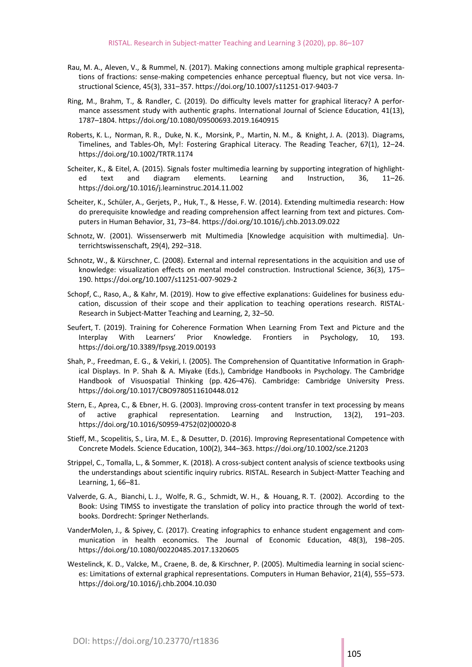- Rau, M. A., Aleven, V., & Rummel, N. (2017). Making connections among multiple graphical representations of fractions: sense-making competencies enhance perceptual fluency, but not vice versa. Instructional Science, 45(3), 331–357. <https://doi.org/10.1007/s11251-017-9403-7>
- Ring, M., Brahm, T., & Randler, C. (2019). Do difficulty levels matter for graphical literacy? A performance assessment study with authentic graphs. International Journal of Science Education, 41(13), 1787–1804. <https://doi.org/10.1080/09500693.2019.1640915>
- Roberts, K. L., Norman, R. R., Duke, N. K., Morsink, P., Martin, N. M., & Knight, J. A. (2013). Diagrams, Timelines, and Tables-Oh, My!: Fostering Graphical Literacy. The Reading Teacher, 67(1), 12–24. <https://doi.org/10.1002/TRTR.1174>
- Scheiter, K., & Eitel, A. (2015). Signals foster multimedia learning by supporting integration of highlighted text and diagram elements. Learning and Instruction, 36, 11–26. <https://doi.org/10.1016/j.learninstruc.2014.11.002>
- Scheiter, K., Schüler, A., Gerjets, P., Huk, T., & Hesse, F. W. (2014). Extending multimedia research: How do prerequisite knowledge and reading comprehension affect learning from text and pictures. Computers in Human Behavior, 31, 73–84.<https://doi.org/10.1016/j.chb.2013.09.022>
- Schnotz, W. (2001). Wissenserwerb mit Multimedia [Knowledge acquisition with multimedia]. Unterrichtswissenschaft, 29(4), 292–318.
- Schnotz, W., & Kürschner, C. (2008). External and internal representations in the acquisition and use of knowledge: visualization effects on mental model construction. Instructional Science, 36(3), 175– 190. <https://doi.org/10.1007/s11251-007-9029-2>
- Schopf, C., Raso, A., & Kahr, M. (2019). How to give effective explanations: Guidelines for business education, discussion of their scope and their application to teaching operations research. RISTAL-Research in Subject-Matter Teaching and Learning, 2, 32–50.
- Seufert, T. (2019). Training for Coherence Formation When Learning From Text and Picture and the Interplay With Learners' Prior Knowledge. Frontiers in Psychology, 10, 193. <https://doi.org/10.3389/fpsyg.2019.00193>
- Shah, P., Freedman, E. G., & Vekiri, I. (2005). The Comprehension of Quantitative Information in Graphical Displays. In P. Shah & A. Miyake (Eds.), Cambridge Handbooks in Psychology. The Cambridge Handbook of Visuospatial Thinking (pp. 426–476). Cambridge: Cambridge University Press. <https://doi.org/10.1017/CBO9780511610448.012>
- Stern, E., Aprea, C., & Ebner, H. G. (2003). Improving cross-content transfer in text processing by means of active graphical representation. Learning and Instruction, 13(2), 191–203. [https://doi.org/10.1016/S0959-4752\(02\)](https://doi.org/10.1016/S0959-4752)00020-8
- Stieff, M., Scopelitis, S., Lira, M. E., & Desutter, D. (2016). Improving Representational Competence with Concrete Models. Science Education, 100(2), 344–363. <https://doi.org/10.1002/sce.21203>
- Strippel, C., Tomalla, L., & Sommer, K. (2018). A cross-subject content analysis of science textbooks using the understandings about scientific inquiry rubrics. RISTAL. Research in Subject-Matter Teaching and Learning, 1, 66–81.
- Valverde, G. A., Bianchi, L. J., Wolfe, R. G., Schmidt, W. H., & Houang, R. T. (2002). According to the Book: Using TIMSS to investigate the translation of policy into practice through the world of textbooks. Dordrecht: Springer Netherlands.
- VanderMolen, J., & Spivey, C. (2017). Creating infographics to enhance student engagement and communication in health economics. The Journal of Economic Education, 48(3), 198–205. <https://doi.org/10.1080/00220485.2017.1320605>
- Westelinck, K. D., Valcke, M., Craene, B. de, & Kirschner, P. (2005). Multimedia learning in social sciences: Limitations of external graphical representations. Computers in Human Behavior, 21(4), 555–573. <https://doi.org/10.1016/j.chb.2004.10.030>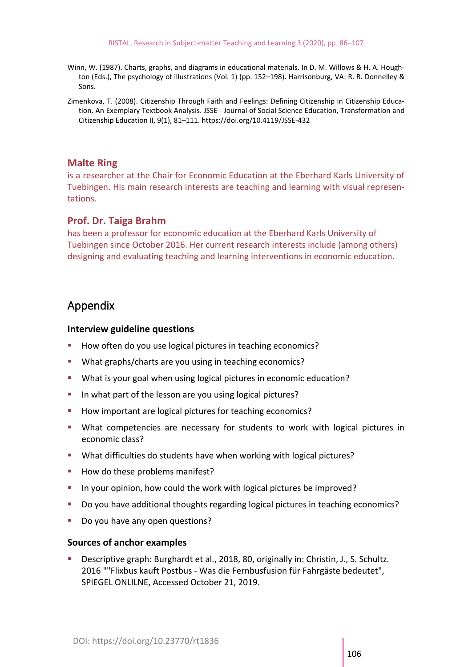- Winn, W. (1987). Charts, graphs, and diagrams in educational materials. In D. M. Willows & H. A. Houghton (Eds.), The psychology of illustrations (Vol. 1) (pp. 152–198). Harrisonburg, VA: R. R. Donnelley & Sons.
- Zimenkova, T. (2008). Citizenship Through Faith and Feelings: Defining Citizenship in Citizenship Education. An Exemplary Textbook Analysis. JSSE - Journal of Social Science Education, Transformation and Citizenship Education II, 9(1), 81–111.<https://doi.org/10.4119/JSSE-432>

## **Malte Ring**

is a researcher at the Chair for Economic Education at the Eberhard Karls University of Tuebingen. His main research interests are teaching and learning with visual representations.

## **Prof. Dr. Taiga Brahm**

has been a professor for economic education at the Eberhard Karls University of Tuebingen since October 2016. Her current research interests include (among others) designing and evaluating teaching and learning interventions in economic education.

## Appendix

#### **Interview guideline questions**

- How often do you use logical pictures in teaching economics?
- What graphs/charts are you using in teaching economics?
- What is your goal when using logical pictures in economic education?
- In what part of the lesson are you using logical pictures?
- How important are logical pictures for teaching economics?
- **■** What competencies are necessary for students to work with logical pictures in economic class?
- What difficulties do students have when working with logical pictures?
- How do these problems manifest?
- In your opinion, how could the work with logical pictures be improved?
- Do you have additional thoughts regarding logical pictures in teaching economics?
- Do you have any open questions?

#### **Sources of anchor examples**

Descriptive graph: Burghardt et al., 2018, 80, originally in: Christin, J., S. Schultz. 2016 ""Flixbus kauft Postbus - Was die Fernbusfusion für Fahrgäste bedeutet", SPIEGEL ONLILNE, Accessed October 21, 2019.